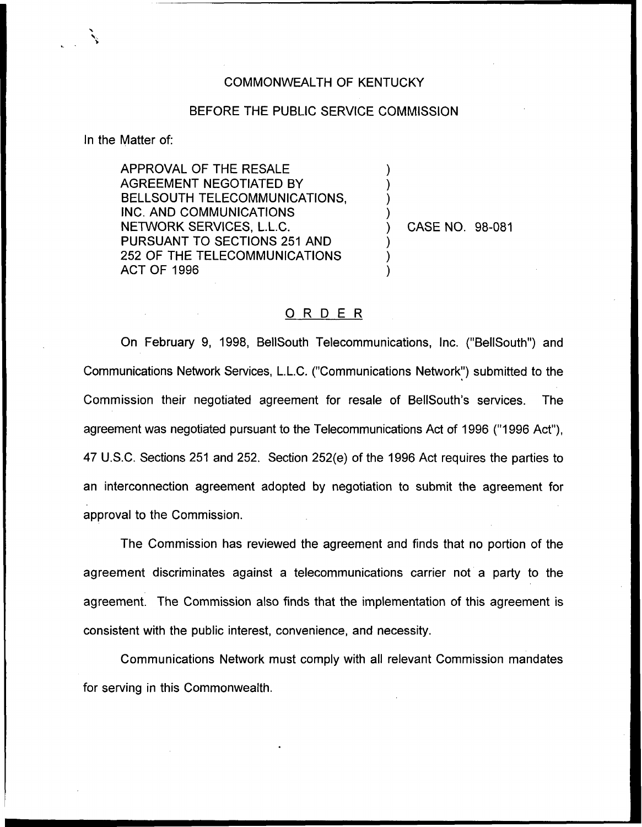## COMMONWEALTH OF KENTUCKY

## BEFORE THE PUBLIC SERVICE COMMISSION

) ) ) )

) ) )

In the Matter of:

APPROVAL OF THE RESALE AGREEMENT NEGOTIATED BY BELLSOUTH TELECOMMUNICATIONS, INC. AND COMMUNICATIONS NETWORK SERVICES, L.L.C. PURSUANT TO SECTIONS 251 AND 252 OF THE TELECOMMUNICATIONS ACT OF 1996

) CASE NO. 98-081

## ORDER

On February 9, 1998, BellSouth Telecommunications, Inc, ("BellSouth") and Communications Network Services, L.L.C. ("Communications Network") submitted to the Commission their negotiated agreement for resale of BelISouth's services. The agreement was negotiated pursuant to the Telecommunications Act of 1996 ("1996 Act"), 47 U.S,C. Sections 251 and 252. Section 252(e) of the 1996 Act requires the parties to an interconnection agreement adopted by negotiation to submit the agreement for approval to the Commission.

The Commission has reviewed the agreement and finds that no portion of the agreement discriminates against a telecommunications carrier not a party to the agreement. The Commission also finds that the implementation of this agreement is consistent with the public interest, convenience, and necessity.

Communications Network must comply with all relevant Commission mandates for serving in this Commonwealth.